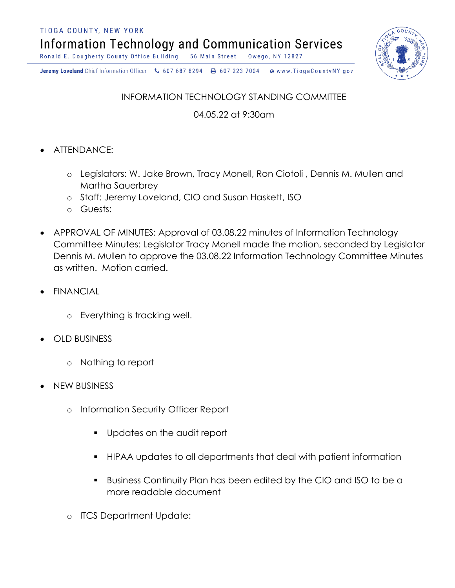TIOGA COUNTY, NEW YORK

**Information Technology and Communication Services** 

Ronald E. Dougherty County Office Building 56 Main Street Owego, NY 13827



Jeremy Loveland Chief Information Officer \607 687 8294 \ + 607 223 7004 o www.TiogaCountyNY.gov

INFORMATION TECHNOLOGY STANDING COMMITTEE

04.05.22 at 9:30am

- ATTENDANCE:
	- o Legislators: W. Jake Brown, Tracy Monell, Ron Ciotoli , Dennis M. Mullen and Martha Sauerbrey
	- o Staff: Jeremy Loveland, CIO and Susan Haskett, ISO
	- o Guests:
- APPROVAL OF MINUTES: Approval of 03.08.22 minutes of Information Technology Committee Minutes: Legislator Tracy Monell made the motion, seconded by Legislator Dennis M. Mullen to approve the 03.08.22 Information Technology Committee Minutes as written. Motion carried.
- FINANCIAL
	- o Everything is tracking well.
- OLD BUSINESS
	- o Nothing to report
- NEW BUSINESS
	- o Information Security Officer Report
		- § Updates on the audit report
		- § HIPAA updates to all departments that deal with patient information
		- § Business Continuity Plan has been edited by the CIO and ISO to be a more readable document
	- o ITCS Department Update: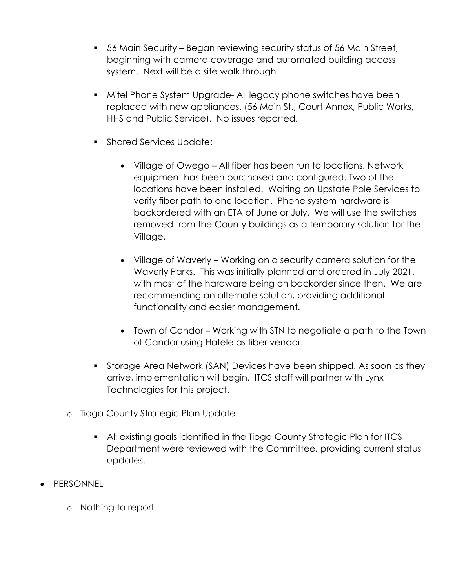- 56 Main Security Began reviewing security status of 56 Main Street, beginning with camera coverage and automated building access system. Next will be a site walk through
- Mitel Phone System Upgrade- All legacy phone switches have been replaced with new appliances. (56 Main St., Court Annex, Public Works, HHS and Public Service). No issues reported.
- Shared Services Update:
	- Village of Owego All fiber has been run to locations. Network equipment has been purchased and configured. Two of the locations have been installed. Waiting on Upstate Pole Services to verify fiber path to one location. Phone system hardware is backordered with an ETA of June or July. We will use the switches removed from the County buildings as a temporary solution for the Village.
	- Village of Waverly Working on a security camera solution for the Waverly Parks. This was initially planned and ordered in July 2021, with most of the hardware being on backorder since then. We are recommending an alternate solution, providing additional functionality and easier management.
	- Town of Candor Working with STN to negotiate a path to the Town of Candor using Hafele as fiber vendor.
- § Storage Area Network (SAN) Devices have been shipped. As soon as they arrive, implementation will begin. ITCS staff will partner with Lynx Technologies for this project.
- o Tioga County Strategic Plan Update.
	- All existing goals identified in the Tioga County Strategic Plan for ITCS Department were reviewed with the Committee, providing current status updates.
- PERSONNEL
	- o Nothing to report